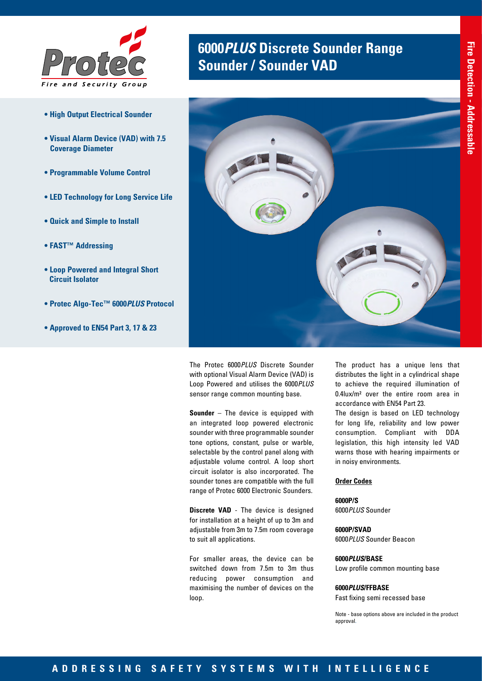

- **High Output Electrical Sounder**
- **Visual Alarm Device (VAD) with 7.5 Coverage Diameter**
- **Programmable Volume Control**
- **LED Technology for Long Service Life**
- **Quick and Simple to Install**
- **FAST™ Addressing**
- **Loop Powered and Integral Short Circuit Isolator**
- **Protec Algo-Tec™ 6000***PLUS* **Protocol**
- **Approved to EN54 Part 3, 17 & 23**

# **6000***PLUS* **Discrete Sounder Range Sounder / Sounder VAD**



The Protec 6000*PLUS* Discrete Sounder with optional Visual Alarm Device (VAD) is Loop Powered and utilises the 6000*PLUS* sensor range common mounting base.

**Sounder** – The device is equipped with an integrated loop powered electronic sounder with three programmable sounder tone options, constant, pulse or warble, selectable by the control panel along with adjustable volume control. A loop short circuit isolator is also incorporated. The sounder tones are compatible with the full range of Protec 6000 Electronic Sounders.

**Discrete VAD** - The device is designed for installation at a height of up to 3m and adjustable from 3m to 7.5m room coverage to suit all applications.

For smaller areas, the device can be switched down from 7.5m to 3m thus reducing power consumption and maximising the number of devices on the loop.

The product has a unique lens that distributes the light in a cylindrical shape to achieve the required illumination of 0.4lux/m² over the entire room area in accordance with EN54 Part 23.

The design is based on LED technology for long life, reliability and low power consumption. Compliant with DDA legislation, this high intensity led VAD warns those with hearing impairments or in noisy environments.

### **Order Codes**

**6000P/S** 6000*PLUS* Sounder

**6000P/SVAD** 6000*PLUS* Sounder Beacon

#### **6000***PLUS***/BASE**

Low profile common mounting base

#### **6000***PLUS***/FFBASE**

Fast fixing semi recessed base

Note - base options above are included in the product approval.